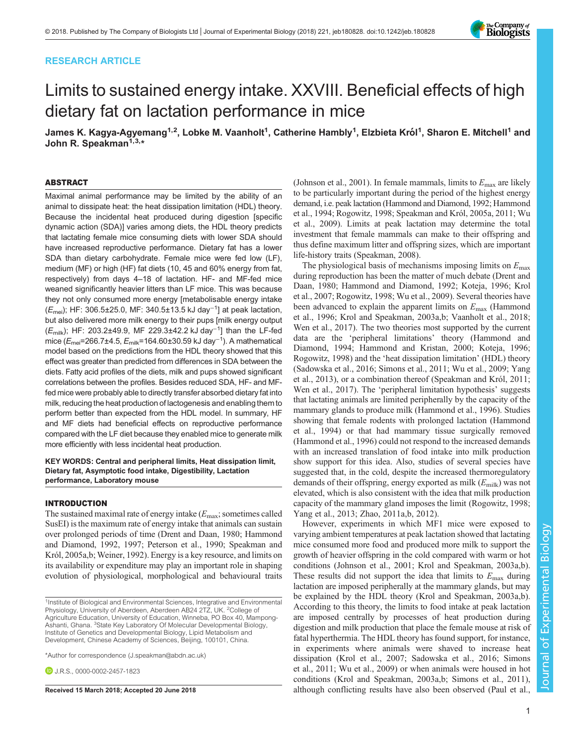# RESEARCH ARTICLE



# Limits to sustained energy intake. XXVIII. Beneficial effects of high dietary fat on lactation performance in mice

James K. Kagya-Agyemang<sup>1,2</sup>, Lobke M. Vaanholt<sup>1</sup>, Catherine Hambly<sup>1</sup>, Elzbieta Król<sup>1</sup>, Sharon E. Mitchell<sup>1</sup> and John R. Speakman<sup>1,3,\*</sup>

#### ABSTRACT

Maximal animal performance may be limited by the ability of an animal to dissipate heat: the heat dissipation limitation (HDL) theory. Because the incidental heat produced during digestion [specific dynamic action (SDA)] varies among diets, the HDL theory predicts that lactating female mice consuming diets with lower SDA should have increased reproductive performance. Dietary fat has a lower SDA than dietary carbohydrate. Female mice were fed low (LF), medium (MF) or high (HF) fat diets (10, 45 and 60% energy from fat, respectively) from days 4–18 of lactation. HF- and MF-fed mice weaned significantly heavier litters than LF mice. This was because they not only consumed more energy [metabolisable energy intake  $(E_{\text{mei}})$ ; HF: 306.5±25.0, MF: 340.5±13.5 kJ day<sup>-1</sup>] at peak lactation, but also delivered more milk energy to their pups [milk energy output (Emilk); HF: 203.2±49.9, MF 229.3±42.2 kJ day<sup>−</sup>1] than the LF-fed mice ( $E_{\sf{mei}}$ =266.7±4.5,  $E_{\sf{milk}}$ =164.60±30.59 kJ day $^{-1}$ ). A mathematical model based on the predictions from the HDL theory showed that this effect was greater than predicted from differences in SDA between the diets. Fatty acid profiles of the diets, milk and pups showed significant correlations between the profiles. Besides reduced SDA, HF- and MFfed mice were probably able to directly transfer absorbed dietary fat into milk, reducing the heat production of lactogenesis and enabling them to perform better than expected from the HDL model. In summary, HF and MF diets had beneficial effects on reproductive performance compared with the LF diet because they enabled mice to generate milk more efficiently with less incidental heat production.

KEY WORDS: Central and peripheral limits, Heat dissipation limit, Dietary fat, Asymptotic food intake, Digestibility, Lactation performance, Laboratory mouse

#### INTRODUCTION

The sustained maximal rate of energy intake  $(E_{\text{max}};$  sometimes called SusEI) is the maximum rate of energy intake that animals can sustain over prolonged periods of time ([Drent and Daan, 1980; Hammond](#page-9-0) [and Diamond, 1992](#page-9-0), [1997](#page-9-0); [Peterson et al., 1990](#page-9-0); [Speakman and](#page-9-0) [Król, 2005a,b](#page-9-0); [Weiner, 1992](#page-10-0)). Energy is a key resource, and limits on its availability or expenditure may play an important role in shaping evolution of physiological, morphological and behavioural traits

\*Author for correspondence [\(J.speakman@abdn.ac.uk\)](mailto:J.speakman@abdn.ac.uk)

**D.** J.R.S., [0000-0002-2457-1823](http://orcid.org/0000-0002-2457-1823)

[\(Johnson et al., 2001\)](#page-9-0). In female mammals, limits to  $E_{\text{max}}$  are likely to be particularly important during the period of the highest energy demand, i.e. peak lactation [\(Hammond and Diamond, 1992](#page-9-0); [Hammond](#page-9-0) [et al., 1994; Rogowitz, 1998; Speakman and Król, 2005a, 2011;](#page-9-0) [Wu](#page-10-0) [et al., 2009\)](#page-10-0). Limits at peak lactation may determine the total investment that female mammals can make to their offspring and thus define maximum litter and offspring sizes, which are important life-history traits [\(Speakman, 2008](#page-9-0)).

The physiological basis of mechanisms imposing limits on  $E_{\text{max}}$ during reproduction has been the matter of much debate ([Drent and](#page-9-0) [Daan, 1980; Hammond and Diamond, 1992](#page-9-0); [Koteja, 1996; Krol](#page-9-0) [et al., 2007; Rogowitz, 1998](#page-9-0); [Wu et al., 2009\)](#page-10-0). Several theories have been advanced to explain the apparent limits on  $E_{\text{max}}$  [\(Hammond](#page-9-0) [et al., 1996; Krol and Speakman, 2003a,b](#page-9-0); [Vaanholt et al., 2018](#page-9-0); [Wen et al., 2017\)](#page-10-0). The two theories most supported by the current data are the 'peripheral limitations' theory [\(Hammond and](#page-9-0) [Diamond, 1994](#page-9-0); [Hammond and Kristan, 2000](#page-9-0); [Koteja, 1996](#page-9-0); [Rogowitz, 1998\)](#page-9-0) and the 'heat dissipation limitation' (HDL) theory [\(Sadowska et al., 2016; Simons et al., 2011;](#page-9-0) [Wu et al., 2009; Yang](#page-10-0) [et al., 2013\)](#page-10-0), or a combination thereof ([Speakman and Król, 2011](#page-9-0); [Wen et al., 2017\)](#page-10-0). The 'peripheral limitation hypothesis' suggests that lactating animals are limited peripherally by the capacity of the mammary glands to produce milk [\(Hammond et al., 1996](#page-9-0)). Studies showing that female rodents with prolonged lactation [\(Hammond](#page-9-0) [et al., 1994\)](#page-9-0) or that had mammary tissue surgically removed [\(Hammond et al., 1996\)](#page-9-0) could not respond to the increased demands with an increased translation of food intake into milk production show support for this idea. Also, studies of several species have suggested that, in the cold, despite the increased thermoregulatory demands of their offspring, energy exported as milk  $(E_{\text{milk}})$  was not elevated, which is also consistent with the idea that milk production capacity of the mammary gland imposes the limit ([Rogowitz, 1998](#page-9-0); [Yang et al., 2013; Zhao, 2011a](#page-10-0),[b, 2012\)](#page-10-0).

However, experiments in which MF1 mice were exposed to varying ambient temperatures at peak lactation showed that lactating mice consumed more food and produced more milk to support the growth of heavier offspring in the cold compared with warm or hot conditions [\(Johnson et al., 2001; Krol and Speakman, 2003a](#page-9-0),[b\)](#page-9-0). These results did not support the idea that limits to  $E_{\text{max}}$  during lactation are imposed peripherally at the mammary glands, but may be explained by the HDL theory [\(Krol and Speakman, 2003a](#page-9-0),[b\)](#page-9-0). According to this theory, the limits to food intake at peak lactation are imposed centrally by processes of heat production during digestion and milk production that place the female mouse at risk of fatal hyperthermia. The HDL theory has found support, for instance, in experiments where animals were shaved to increase heat dissipation ([Krol et al., 2007](#page-9-0); [Sadowska et al., 2016](#page-9-0); [Simons](#page-9-0) [et al., 2011;](#page-9-0) [Wu et al., 2009\)](#page-10-0) or when animals were housed in hot conditions ([Krol and Speakman, 2003a,b; Simons et al., 2011\)](#page-9-0), Received 15 March 2018; Accepted 20 June 2018 **although conflicting results have also been observed [\(Paul et al.,](#page-9-0)** 

<sup>&</sup>lt;sup>1</sup>Institute of Biological and Environmental Sciences, Integrative and Environmental Physiology, University of Aberdeen, Aberdeen AB24 2TZ, UK. <sup>2</sup>College of Agriculture Education, University of Education, Winneba, PO Box 40, Mampong-Ashanti, Ghana. <sup>3</sup>State Key Laboratory Of Molecular Developmental Biology, Institute of Genetics and Developmental Biology, Lipid Metabolism and Development, Chinese Academy of Sciences, Beijing, 100101, China.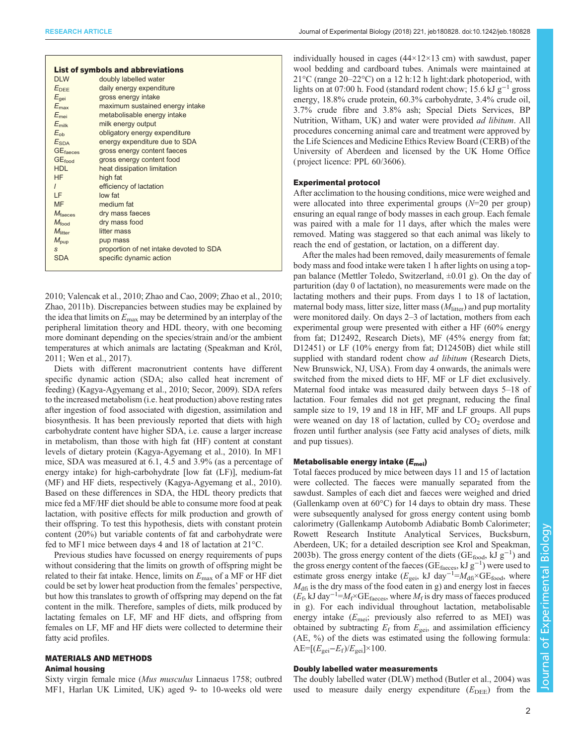| <b>List of symbols and abbreviations</b> |                                         |  |  |  |  |  |  |  |  |
|------------------------------------------|-----------------------------------------|--|--|--|--|--|--|--|--|
| DI W                                     | doubly labelled water                   |  |  |  |  |  |  |  |  |
| $E_{DEF}$                                | daily energy expenditure                |  |  |  |  |  |  |  |  |
| $E_{\text{qei}}$                         | gross energy intake                     |  |  |  |  |  |  |  |  |
| $E_{\text{max}}$                         | maximum sustained energy intake         |  |  |  |  |  |  |  |  |
| $E_{\text{mei}}$                         | metabolisable energy intake             |  |  |  |  |  |  |  |  |
| $E_{\text{milk}}$                        | milk energy output                      |  |  |  |  |  |  |  |  |
| $E_{\rm ob}$                             | obligatory energy expenditure           |  |  |  |  |  |  |  |  |
| $E_{SDA}$                                | energy expenditure due to SDA           |  |  |  |  |  |  |  |  |
| <b>GE</b> <sub>faeces</sub>              | gross energy content faeces             |  |  |  |  |  |  |  |  |
| <b>GE</b> food                           | gross energy content food               |  |  |  |  |  |  |  |  |
| HDL                                      | heat dissipation limitation             |  |  |  |  |  |  |  |  |
| HF.                                      | high fat                                |  |  |  |  |  |  |  |  |
| $\mathbf{I}$                             | efficiency of lactation                 |  |  |  |  |  |  |  |  |
| I F                                      | low fat                                 |  |  |  |  |  |  |  |  |
| <b>MF</b>                                | medium fat                              |  |  |  |  |  |  |  |  |
| $M_{\text{faces}}$                       | dry mass faeces                         |  |  |  |  |  |  |  |  |
| $M_{\text{food}}$                        | dry mass food                           |  |  |  |  |  |  |  |  |
| M <sub>litter</sub>                      | litter mass                             |  |  |  |  |  |  |  |  |
| $M_{\text{pup}}$                         | pup mass                                |  |  |  |  |  |  |  |  |
| S                                        | proportion of net intake devoted to SDA |  |  |  |  |  |  |  |  |
| <b>SDA</b>                               | specific dynamic action                 |  |  |  |  |  |  |  |  |
|                                          |                                         |  |  |  |  |  |  |  |  |

[2010](#page-9-0); [Valencak et al., 2010; Zhao and Cao, 2009](#page-10-0); [Zhao et al., 2010](#page-10-0); [Zhao, 2011b](#page-10-0)). Discrepancies between studies may be explained by the idea that limits on  $E_{\text{max}}$  may be determined by an interplay of the peripheral limitation theory and HDL theory, with one becoming more dominant depending on the species/strain and/or the ambient temperatures at which animals are lactating ([Speakman and Król,](#page-9-0) [2011](#page-9-0); [Wen et al., 2017\)](#page-10-0).

Diets with different macronutrient contents have different specific dynamic action (SDA; also called heat increment of feeding) ([Kagya-Agyemang et al., 2010; Secor, 2009](#page-9-0)). SDA refers to the increased metabolism (i.e. heat production) above resting rates after ingestion of food associated with digestion, assimilation and biosynthesis. It has been previously reported that diets with high carbohydrate content have higher SDA, i.e. cause a larger increase in metabolism, than those with high fat (HF) content at constant levels of dietary protein [\(Kagya-Agyemang et al., 2010\)](#page-9-0). In MF1 mice, SDA was measured at 6.1, 4.5 and 3.9% (as a percentage of energy intake) for high-carbohydrate [low fat (LF)], medium-fat (MF) and HF diets, respectively [\(Kagya-Agyemang et al., 2010\)](#page-9-0). Based on these differences in SDA, the HDL theory predicts that mice fed a MF/HF diet should be able to consume more food at peak lactation, with positive effects for milk production and growth of their offspring. To test this hypothesis, diets with constant protein content (20%) but variable contents of fat and carbohydrate were fed to MF1 mice between days 4 and 18 of lactation at 21°C.

Previous studies have focussed on energy requirements of pups without considering that the limits on growth of offspring might be related to their fat intake. Hence, limits on  $E_{\text{max}}$  of a MF or HF diet could be set by lower heat production from the females' perspective, but how this translates to growth of offspring may depend on the fat content in the milk. Therefore, samples of diets, milk produced by lactating females on LF, MF and HF diets, and offspring from females on LF, MF and HF diets were collected to determine their fatty acid profiles.

## MATERIALS AND METHODS Animal housing

Sixty virgin female mice (Mus musculus Linnaeus 1758; outbred MF1, Harlan UK Limited, UK) aged 9- to 10-weeks old were individually housed in cages  $(44\times12\times13$  cm) with sawdust, paper wool bedding and cardboard tubes. Animals were maintained at 21°C (range 20–22°C) on a 12 h:12 h light:dark photoperiod, with lights on at 07:00 h. Food (standard rodent chow; 15.6 kJ g−<sup>1</sup> gross energy, 18.8% crude protein, 60.3% carbohydrate, 3.4% crude oil, 3.7% crude fibre and 3.8% ash; Special Diets Services, BP Nutrition, Witham, UK) and water were provided ad libitum. All procedures concerning animal care and treatment were approved by the Life Sciences and Medicine Ethics Review Board (CERB) of the University of Aberdeen and licensed by the UK Home Office ( project licence: PPL 60/3606).

#### Experimental protocol

After acclimation to the housing conditions, mice were weighed and were allocated into three experimental groups  $(N=20$  per group) ensuring an equal range of body masses in each group. Each female was paired with a male for 11 days, after which the males were removed. Mating was staggered so that each animal was likely to reach the end of gestation, or lactation, on a different day.

After the males had been removed, daily measurements of female body mass and food intake were taken 1 h after lights on using a toppan balance (Mettler Toledo, Switzerland,  $\pm 0.01$  g). On the day of parturition (day 0 of lactation), no measurements were made on the lactating mothers and their pups. From days 1 to 18 of lactation, maternal body mass, litter size, litter mass  $(M<sub>litter</sub>)$  and pup mortality were monitored daily. On days 2–3 of lactation, mothers from each experimental group were presented with either a HF (60% energy from fat; D12492, Research Diets), MF (45% energy from fat; D12451) or LF (10% energy from fat; D12450B) diet while still supplied with standard rodent chow *ad libitum* (Research Diets, New Brunswick, NJ, USA). From day 4 onwards, the animals were switched from the mixed diets to HF, MF or LF diet exclusively. Maternal food intake was measured daily between days 5–18 of lactation. Four females did not get pregnant, reducing the final sample size to 19, 19 and 18 in HF, MF and LF groups. All pups were weaned on day 18 of lactation, culled by  $CO<sub>2</sub>$  overdose and frozen until further analysis (see Fatty acid analyses of diets, milk and pup tissues).

# Metabolisable energy intake  $(E_{\text{mei}})$

Total faeces produced by mice between days 11 and 15 of lactation were collected. The faeces were manually separated from the sawdust. Samples of each diet and faeces were weighed and dried (Gallenkamp oven at  $60^{\circ}$ C) for 14 days to obtain dry mass. These were subsequently analysed for gross energy content using bomb calorimetry (Gallenkamp Autobomb Adiabatic Bomb Calorimeter; Rowett Research Institute Analytical Services, Bucksburn, Aberdeen, UK; for a detailed description see [Krol and Speakman,](#page-9-0) [2003b\)](#page-9-0). The gross energy content of the diets (GE<sub>food</sub>, kJ  $g^{-1}$ ) and the gross energy content of the faeces ( $GE$ <sub>faeces</sub>, kJ g<sup>-1</sup>) were used to estimate gross energy intake ( $E_{\text{gei}}$ , kJ day<sup>-1</sup>= $M_{\text{df}} \times \text{GE}_{\text{food}}$ , where  $M<sub>dfi</sub>$  is the dry mass of the food eaten in g) and energy lost in faeces  $(E_f, kJ \, \text{day}^{-1} = M_f \times \text{GE}$ <sub>faeces</sub>, where  $M_f$  is dry mass of faeces produced in g). For each individual throughout lactation, metabolisable energy intake  $(E_{\text{mei}};$  previously also referred to as MEI) was obtained by subtracting  $E_f$  from  $E_{\text{gei}}$ , and assimilation efficiency (AE, %) of the diets was estimated using the following formula:  $AE=[(E_{\text{gei}}-E_{\text{f}})/E_{\text{gei}}]\times 100.$ 

## Doubly labelled water measurements

The doubly labelled water (DLW) method [\(Butler et al., 2004](#page-9-0)) was used to measure daily energy expenditure  $(E_{\text{DEE}})$  from the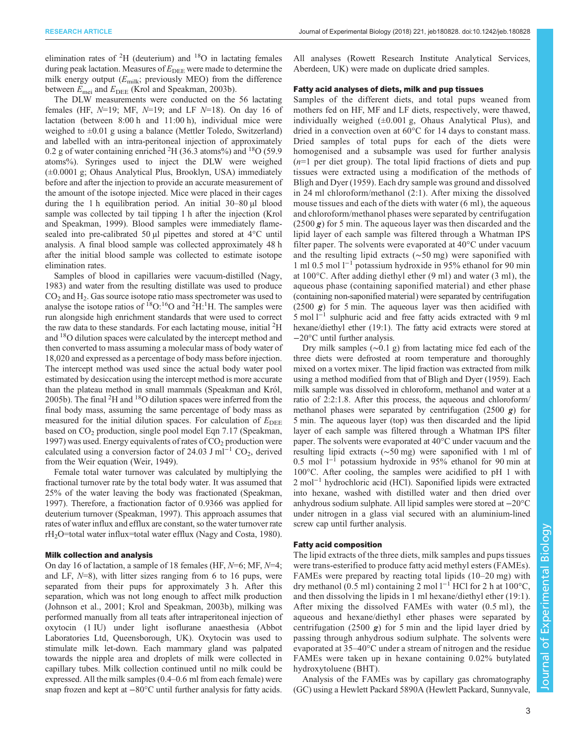elimination rates of  ${}^{2}H$  (deuterium) and  ${}^{18}O$  in lactating females during peak lactation. Measures of  $E_{\text{DEE}}$  were made to determine the milk energy output  $(E_{\text{milk}};$  previously MEO) from the difference between  $E_{\text{mei}}$  and  $E_{\text{DEE}}$  [\(Krol and Speakman, 2003b\)](#page-9-0).

The DLW measurements were conducted on the 56 lactating females (HF,  $N=19$ ; MF,  $N=19$ ; and LF  $N=18$ ). On day 16 of lactation (between 8:00 h and 11:00 h), individual mice were weighed to ±0.01 g using a balance (Mettler Toledo, Switzerland) and labelled with an intra-peritoneal injection of approximately 0.2 g of water containing enriched  ${}^{2}$ H (36.3 atoms%) and  ${}^{18}$ O (59.9 atoms%). Syringes used to inject the DLW were weighed (±0.0001 g; Ohaus Analytical Plus, Brooklyn, USA) immediately before and after the injection to provide an accurate measurement of the amount of the isotope injected. Mice were placed in their cages during the 1 h equilibration period. An initial 30–80 µl blood sample was collected by tail tipping 1 h after the injection ([Krol](#page-9-0) [and Speakman, 1999\)](#page-9-0). Blood samples were immediately flamesealed into pre-calibrated 50 µl pipettes and stored at 4°C until analysis. A final blood sample was collected approximately 48 h after the initial blood sample was collected to estimate isotope elimination rates.

Samples of blood in capillaries were vacuum-distilled [\(Nagy,](#page-9-0) [1983](#page-9-0)) and water from the resulting distillate was used to produce  $CO<sub>2</sub>$  and  $H<sub>2</sub>$ . Gas source isotope ratio mass spectrometer was used to analyse the isotope ratios of  $^{18}O$ :<sup>16</sup>O and <sup>2</sup>H:<sup>1</sup>H. The samples were run alongside high enrichment standards that were used to correct the raw data to these standards. For each lactating mouse, initial <sup>2</sup>H and 18O dilution spaces were calculated by the intercept method and then converted to mass assuming a molecular mass of body water of 18,020 and expressed as a percentage of body mass before injection. The intercept method was used since the actual body water pool estimated by desiccation using the intercept method is more accurate than the plateau method in small mammals ([Speakman and Król,](#page-9-0) [2005b\)](#page-9-0). The final  ${}^{2}$ H and  ${}^{18}$ O dilution spaces were inferred from the final body mass, assuming the same percentage of body mass as measured for the initial dilution spaces. For calculation of  $E_{\text{DEE}}$ based on CO<sub>2</sub> production, single pool model Eqn 7.17 [\(Speakman,](#page-9-0) [1997](#page-9-0)) was used. Energy equivalents of rates of  $CO<sub>2</sub>$  production were calculated using a conversion factor of 24.03 J ml<sup>-1</sup> CO<sub>2</sub>, derived from the Weir equation ([Weir, 1949](#page-10-0)).

Female total water turnover was calculated by multiplying the fractional turnover rate by the total body water. It was assumed that 25% of the water leaving the body was fractionated ([Speakman,](#page-9-0) [1997\)](#page-9-0). Therefore, a fractionation factor of 0.9366 was applied for deuterium turnover ([Speakman, 1997](#page-9-0)). This approach assumes that rates of water influx and efflux are constant, so the water turnover rate rH<sub>2</sub>O=total water influx=total water efflux [\(Nagy and Costa, 1980\)](#page-9-0).

#### Milk collection and analysis

On day 16 of lactation, a sample of 18 females (HF, N=6; MF, N=4; and LF,  $N=8$ ), with litter sizes ranging from 6 to 16 pups, were separated from their pups for approximately 3 h. After this separation, which was not long enough to affect milk production [\(Johnson et al., 2001](#page-9-0); [Krol and Speakman, 2003b\)](#page-9-0), milking was performed manually from all teats after intraperitoneal injection of oxytocin (1 IU) under light isoflurane anaesthesia (Abbot Laboratories Ltd, Queensborough, UK). Oxytocin was used to stimulate milk let-down. Each mammary gland was palpated towards the nipple area and droplets of milk were collected in capillary tubes. Milk collection continued until no milk could be expressed. All the milk samples (0.4–0.6 ml from each female) were snap frozen and kept at −80°C until further analysis for fatty acids.

All analyses (Rowett Research Institute Analytical Services, Aberdeen, UK) were made on duplicate dried samples.

## Fatty acid analyses of diets, milk and pup tissues

Samples of the different diets, and total pups weaned from mothers fed on HF, MF and LF diets, respectively, were thawed, individually weighed (±0.001 g, Ohaus Analytical Plus), and dried in a convection oven at 60°C for 14 days to constant mass. Dried samples of total pups for each of the diets were homogenised and a subsample was used for further analysis  $(n=1)$  per diet group). The total lipid fractions of diets and pup tissues were extracted using a modification of the methods of [Bligh and Dyer \(1959\).](#page-9-0) Each dry sample was ground and dissolved in 24 ml chloroform/methanol (2:1). After mixing the dissolved mouse tissues and each of the diets with water (6 ml), the aqueous and chloroform/methanol phases were separated by centrifugation  $(2500 g)$  for 5 min. The aqueous layer was then discarded and the lipid layer of each sample was filtered through a Whatman IPS filter paper. The solvents were evaporated at 40°C under vacuum and the resulting lipid extracts (∼50 mg) were saponified with 1 ml 0.5 mol l−<sup>1</sup> potassium hydroxide in 95% ethanol for 90 min at 100°C. After adding diethyl ether (9 ml) and water (3 ml), the aqueous phase (containing saponified material) and ether phase (containing non-saponified material) were separated by centrifugation  $(2500 \text{ g})$  for 5 min. The aqueous layer was then acidified with 5 mol l−<sup>1</sup> sulphuric acid and free fatty acids extracted with 9 ml hexane/diethyl ether (19:1). The fatty acid extracts were stored at −20°C until further analysis.

Dry milk samples (∼0.1 g) from lactating mice fed each of the three diets were defrosted at room temperature and thoroughly mixed on a vortex mixer. The lipid fraction was extracted from milk using a method modified from that of [Bligh and Dyer \(1959\).](#page-9-0) Each milk sample was dissolved in chloroform, methanol and water at a ratio of 2:2:1.8. After this process, the aqueous and chloroform/ methanol phases were separated by centrifugation  $(2500 g)$  for 5 min. The aqueous layer (top) was then discarded and the lipid layer of each sample was filtered through a Whatman IPS filter paper. The solvents were evaporated at 40°C under vacuum and the resulting lipid extracts (∼50 mg) were saponified with 1 ml of 0.5 mol l−<sup>1</sup> potassium hydroxide in 95% ethanol for 90 min at 100°C. After cooling, the samples were acidified to pH 1 with 2 mol<sup>-1</sup> hydrochloric acid (HCl). Saponified lipids were extracted into hexane, washed with distilled water and then dried over anhydrous sodium sulphate. All lipid samples were stored at −20°C under nitrogen in a glass vial secured with an aluminium-lined screw cap until further analysis.

## Fatty acid composition

The lipid extracts of the three diets, milk samples and pups tissues were trans-esterified to produce fatty acid methyl esters (FAMEs). FAMEs were prepared by reacting total lipids (10–20 mg) with dry methanol (0.5 ml) containing 2 mol l−<sup>1</sup> HCl for 2 h at 100°C, and then dissolving the lipids in 1 ml hexane/diethyl ether (19:1). After mixing the dissolved FAMEs with water (0.5 ml), the aqueous and hexane/diethyl ether phases were separated by centrifugation (2500  $g$ ) for 5 min and the lipid layer dried by passing through anhydrous sodium sulphate. The solvents were evaporated at 35–40°C under a stream of nitrogen and the residue FAMEs were taken up in hexane containing 0.02% butylated hydroxytoluene (BHT).

Analysis of the FAMEs was by capillary gas chromatography (GC) using a Hewlett Packard 5890A (Hewlett Packard, Sunnyvale,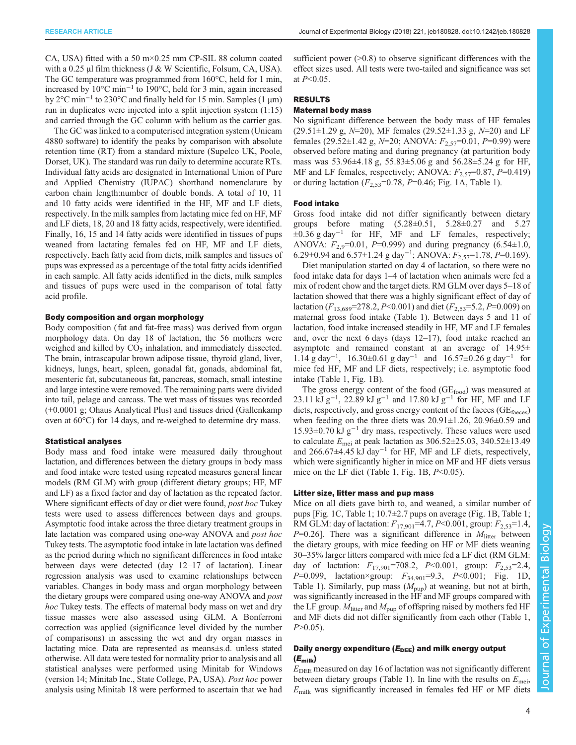CA, USA) fitted with a 50 m×0.25 mm CP-SIL 88 column coated with a 0.25  $\mu$ l film thickness (J & W Scientific, Folsum, CA, USA). The GC temperature was programmed from 160°C, held for 1 min, increased by 10°C min−<sup>1</sup> to 190°C, held for 3 min, again increased by 2°C min−<sup>1</sup> to 230°C and finally held for 15 min. Samples (1 µm) run in duplicates were injected into a split injection system (1:15) and carried through the GC column with helium as the carrier gas.

The GC was linked to a computerised integration system (Unicam 4880 software) to identify the peaks by comparison with absolute retention time (RT) from a standard mixture (Supelco UK, Poole, Dorset, UK). The standard was run daily to determine accurate RTs. Individual fatty acids are designated in International Union of Pure and Applied Chemistry (IUPAC) shorthand nomenclature by carbon chain length:number of double bonds. A total of 10, 11 and 10 fatty acids were identified in the HF, MF and LF diets, respectively. In the milk samples from lactating mice fed on HF, MF and LF diets, 18, 20 and 18 fatty acids, respectively, were identified. Finally, 16, 15 and 14 fatty acids were identified in tissues of pups weaned from lactating females fed on HF, MF and LF diets, respectively. Each fatty acid from diets, milk samples and tissues of pups was expressed as a percentage of the total fatty acids identified in each sample. All fatty acids identified in the diets, milk samples and tissues of pups were used in the comparison of total fatty acid profile.

#### Body composition and organ morphology

Body composition (fat and fat-free mass) was derived from organ morphology data. On day 18 of lactation, the 56 mothers were weighed and killed by  $CO<sub>2</sub>$  inhalation, and immediately dissected. The brain, intrascapular brown adipose tissue, thyroid gland, liver, kidneys, lungs, heart, spleen, gonadal fat, gonads, abdominal fat, mesenteric fat, subcutaneous fat, pancreas, stomach, small intestine and large intestine were removed. The remaining parts were divided into tail, pelage and carcass. The wet mass of tissues was recorded (±0.0001 g; Ohaus Analytical Plus) and tissues dried (Gallenkamp oven at 60°C) for 14 days, and re-weighed to determine dry mass.

#### Statistical analyses

Body mass and food intake were measured daily throughout lactation, and differences between the dietary groups in body mass and food intake were tested using repeated measures general linear models (RM GLM) with group (different dietary groups; HF, MF and LF) as a fixed factor and day of lactation as the repeated factor. Where significant effects of day or diet were found, *post hoc* Tukey tests were used to assess differences between days and groups. Asymptotic food intake across the three dietary treatment groups in late lactation was compared using one-way ANOVA and *post hoc* Tukey tests. The asymptotic food intake in late lactation was defined as the period during which no significant differences in food intake between days were detected (day 12–17 of lactation). Linear regression analysis was used to examine relationships between variables. Changes in body mass and organ morphology between the dietary groups were compared using one-way ANOVA and *post* hoc Tukey tests. The effects of maternal body mass on wet and dry tissue masses were also assessed using GLM. A Bonferroni correction was applied (significance level divided by the number of comparisons) in assessing the wet and dry organ masses in lactating mice. Data are represented as means±s.d. unless stated otherwise. All data were tested for normality prior to analysis and all statistical analyses were performed using Minitab for Windows (version 14; Minitab Inc., State College, PA, USA). Post hoc power analysis using Minitab 18 were performed to ascertain that we had

sufficient power  $(0.8)$  to observe significant differences with the effect sizes used. All tests were two-tailed and significance was set at  $P<0.05$ .

## RESULTS

## Maternal body mass

No significant difference between the body mass of HF females  $(29.51\pm1.29 \text{ g}, N=20)$ , MF females  $(29.52\pm1.33 \text{ g}, N=20)$  and LF females (29.52±1.42 g,  $N=20$ ; ANOVA:  $F_{2.57}=0.01$ ,  $P=0.99$ ) were observed before mating and during pregnancy (at parturition body mass was 53.96±4.18 g, 55.83±5.06 g and 56.28±5.24 g for HF, MF and LF females, respectively; ANOVA:  $F_{2.57}$ =0.87, P=0.419) or during lactation  $(F_{2,53}=0.78, P=0.46;$  [Fig. 1](#page-4-0)A, [Table 1\)](#page-4-0).

#### Food intake

Gross food intake did not differ significantly between dietary groups before mating (5.28±0.51, 5.28±0.27 and 5.27  $\pm 0.36$  g day<sup>-1</sup> for HF, MF and LF females, respectively; ANOVA:  $F_{2.9}$ =0.01, P=0.999) and during pregnancy (6.54 $\pm$ 1.0, 6.29±0.94 and 6.57±1.24 g day<sup>-1</sup>; ANOVA:  $F_{2,57}$ =1.78, P=0.169).

Diet manipulation started on day 4 of lactation, so there were no food intake data for days 1–4 of lactation when animals were fed a mix of rodent chow and the target diets. RM GLM over days 5–18 of lactation showed that there was a highly significant effect of day of lactation  $(F_{13,689} = 278.2, P < 0.001)$  and diet  $(F_{2,53} = 5.2, P = 0.009)$  on maternal gross food intake ([Table 1](#page-4-0)). Between days 5 and 11 of lactation, food intake increased steadily in HF, MF and LF females and, over the next 6 days (days 12–17), food intake reached an asymptote and remained constant at an average of 14.95± 1.14 g day−<sup>1</sup> , 16.30±0.61 g day−<sup>1</sup> and 16.57±0.26 g day−<sup>1</sup> for mice fed HF, MF and LF diets, respectively; i.e. asymptotic food intake ([Table 1](#page-4-0), [Fig. 1B](#page-4-0)).

The gross energy content of the food  $(GE_{food})$  was measured at 23.11 kJ g<sup>-1</sup>, 22.89 kJ g<sup>-1</sup> and 17.80 kJ g<sup>-1</sup> for HF, MF and LF diets, respectively, and gross energy content of the faeces ( $GE<sub>faces</sub>$ ) when feeding on the three diets was  $20.91 \pm 1.26$ ,  $20.96 \pm 0.59$  and 15.93±0.70 kJ  $g^{-1}$  dry mass, respectively. These values were used to calculate  $E_{\text{mei}}$  at peak lactation as 306.52 $\pm$ 25.03, 340.52 $\pm$ 13.49 and 266.67 $\pm$ 4.45 kJ day<sup>-1</sup> for HF, MF and LF diets, respectively, which were significantly higher in mice on MF and HF diets versus mice on the LF diet [\(Table 1, Fig. 1](#page-4-0)B,  $P<0.05$ ).

#### Litter size, litter mass and pup mass

Mice on all diets gave birth to, and weaned, a similar number of pups [[Fig. 1C](#page-4-0), [Table 1](#page-4-0); 10.7±2.7 pups on average ([Fig. 1B](#page-4-0), [Table 1](#page-4-0); RM GLM: day of lactation:  $F_{17,901}$ =4.7, P<0.001, group:  $F_{2,53}$ =1.4,  $P=0.26$ ]. There was a significant difference in  $M<sub>litter</sub>$  between the dietary groups, with mice feeding on HF or MF diets weaning 30–35% larger litters compared with mice fed a LF diet (RM GLM: day of lactation:  $F_{17,901}$ =708.2, P<0.001, group:  $F_{2,53}$ =2.4, P=0.099, lactation×group:  $F_{34,901}$ =9.3, P<0.001; [Fig. 1D](#page-4-0), [Table 1](#page-4-0)). Similarly, pup mass  $(M_{\text{pup}})$  at weaning, but not at birth, was significantly increased in the HF and MF groups compared with the LF group.  $M<sub>litter</sub>$  and  $M<sub>pun</sub>$  of offspring raised by mothers fed HF and MF diets did not differ significantly from each other ([Table 1,](#page-4-0)  $P > 0.05$ ).

# Daily energy expenditure  $(E_{\text{DEE}})$  and milk energy output  $(E_{\text{milk}})$

 $E_{\rm DEE}$  measured on day 16 of lactation was not significantly different between dietary groups ([Table 1\)](#page-4-0). In line with the results on  $E_{\text{mei}}$ ,  $E_{\text{milk}}$  was significantly increased in females fed HF or MF diets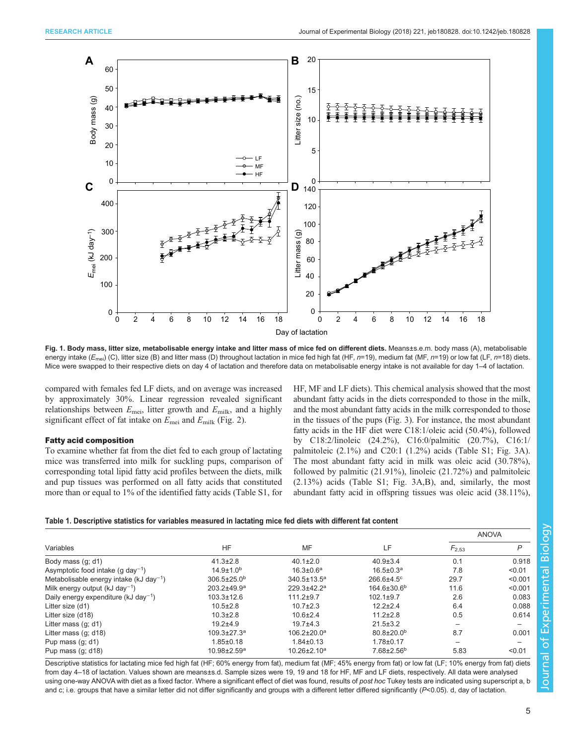<span id="page-4-0"></span>

Fig. 1. Body mass, litter size, metabolisable energy intake and litter mass of mice fed on different diets. Means±s.e.m. body mass (A), metabolisable energy intake ( $E_{\text{mei}}$ ) (C), litter size (B) and litter mass (D) throughout lactation in mice fed high fat (HF, n=19), medium fat (MF, n=19) or low fat (LF, n=18) diets. Mice were swapped to their respective diets on day 4 of lactation and therefore data on metabolisable energy intake is not available for day 1-4 of lactation.

compared with females fed LF diets, and on average was increased by approximately 30%. Linear regression revealed significant relationships between  $E_{\text{mei}}$ , litter growth and  $E_{\text{milk}}$ , and a highly significant effect of fat intake on  $E_{\text{mei}}$  and  $E_{\text{milk}}$  [\(Fig. 2\)](#page-5-0).

## Fatty acid composition

To examine whether fat from the diet fed to each group of lactating mice was transferred into milk for suckling pups, comparison of corresponding total lipid fatty acid profiles between the diets, milk and pup tissues was performed on all fatty acids that constituted more than or equal to 1% of the identified fatty acids ([Table S1](http://jeb.biologists.org/lookup/doi/10.1242/jeb.180828.supplemental), for HF, MF and LF diets). This chemical analysis showed that the most abundant fatty acids in the diets corresponded to those in the milk, and the most abundant fatty acids in the milk corresponded to those in the tissues of the pups [\(Fig. 3\)](#page-6-0). For instance, the most abundant fatty acids in the HF diet were C18:1/oleic acid (50.4%), followed by C18:2/linoleic (24.2%), C16:0/palmitic (20.7%), C16:1/ palmitoleic (2.1%) and C20:1 (1.2%) acids [\(Table S1](http://jeb.biologists.org/lookup/doi/10.1242/jeb.180828.supplemental); [Fig. 3A](#page-6-0)). The most abundant fatty acid in milk was oleic acid (30.78%), followed by palmitic (21.91%), linoleic (21.72%) and palmitoleic (2.13%) acids ([Table S1;](http://jeb.biologists.org/lookup/doi/10.1242/jeb.180828.supplemental) [Fig. 3](#page-6-0)A,B), and, similarly, the most abundant fatty acid in offspring tissues was oleic acid (38.11%),

#### Table 1. Descriptive statistics for variables measured in lactating mice fed diets with different fat content

|                                                     |                               |                               |                              | <b>ANOVA</b> |                          |
|-----------------------------------------------------|-------------------------------|-------------------------------|------------------------------|--------------|--------------------------|
| Variables                                           | <b>HF</b>                     | MF                            | LF                           | $F_{2,53}$   | $\mathsf{P}$             |
| Body mass (q; d1)                                   | $41.3 \pm 2.8$                | $40.1 \pm 2.0$                | $40.9 \pm 3.4$               | 0.1          | 0.918                    |
| Asymptotic food intake $(q \text{ day}^{-1})$       | $14.9 \pm 1.0^{b}$            | $16.3 \pm 0.6^a$              | $16.5 \pm 0.3^a$             | 7.8          | < 0.01                   |
| Metabolisable energy intake (kJ day <sup>-1</sup> ) | $306.5 \pm 25.0^{\rm b}$      | 340.5±13.5 <sup>a</sup>       | $266.6{\pm}4.5^{\circ}$      | 29.7         | < 0.001                  |
| Milk energy output (kJ day <sup>-1</sup> )          | $203.2 + 49.9^a$              | $229.3 + 42.2^a$              | $164.6 \pm 30.6^{\circ}$     | 11.6         | < 0.001                  |
| Daily energy expenditure (kJ day <sup>-1</sup> )    | $103.3 \pm 12.6$              | $111.2 + 9.7$                 | $102.1 \pm 9.7$              | 2.6          | 0.083                    |
| Litter size (d1)                                    | $10.5 \pm 2.8$                | $10.7 \pm 2.3$                | $12.2 \pm 2.4$               | 6.4          | 0.088                    |
| Litter size (d18)                                   | $10.3 \pm 2.8$                | $10.6 + 2.4$                  | $11.2 \pm 2.8$               | 0.5          | 0.614                    |
| Litter mass $(q; d1)$                               | $19.2 + 4.9$                  | $19.7 + 4.3$                  | $21.5 \pm 3.2$               |              | $\overline{\phantom{m}}$ |
| Litter mass $(q; d18)$                              | $109.3 \pm 27.3$ <sup>a</sup> | $106.2{\pm}20.0^{\mathrm{a}}$ | $80.8 \pm 20.0^{\rm b}$      | 8.7          | 0.001                    |
| Pup mass $(q; d1)$                                  | $1.85 \pm 0.18$               | $1.84 \pm 0.13$               | $1.78 + 0.17$                |              |                          |
| Pup mass $(q; d18)$                                 | $10.98 \pm 2.59$ <sup>a</sup> | $10.26 \pm 2.10^a$            | $7.68 \pm 2.56$ <sup>b</sup> | 5.83         | < 0.01                   |

Descriptive statistics for lactating mice fed high fat (HF; 60% energy from fat), medium fat (MF; 45% energy from fat) or low fat (LF; 10% energy from fat) diets from day 4–18 of lactation. Values shown are means±s.d. Sample sizes were 19, 19 and 18 for HF, MF and LF diets, respectively. All data were analysed using one-way ANOVA with diet as a fixed factor. Where a significant effect of diet was found, results of post hoc Tukey tests are indicated using superscript a, b and c; i.e. groups that have a similar letter did not differ significantly and groups with a different letter differed significantly (P<0.05). d, day of lactation.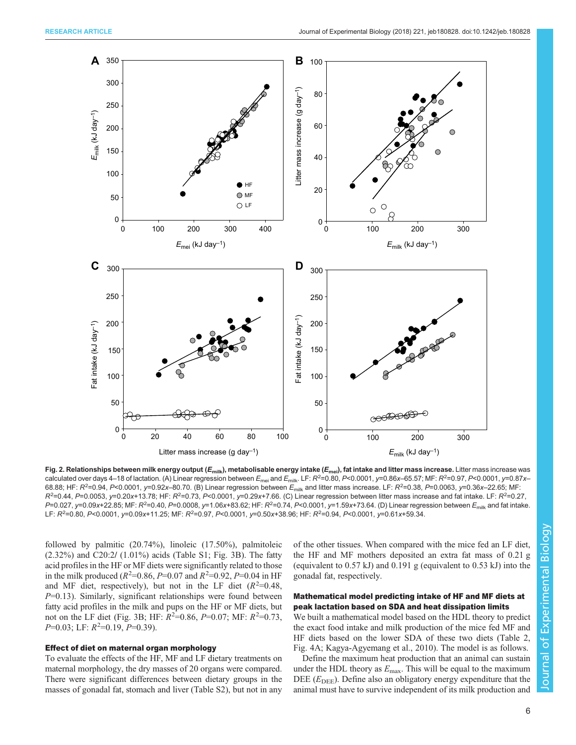<span id="page-5-0"></span>

Fig. 2. Relationships between milk energy output ( $E_{\text{min}}$ ), metabolisable energy intake ( $E_{\text{mei}}$ ), fat intake and litter mass increase. Litter mass increase was calculated over days 4–18 of lactation. (A) Linear regression between  $E_{\text{mei}}$  and  $E_{\text{mili}}$ . LF:  $R^2$ =0.80, P<0.0001, y=0.86x–65.57; MF:  $R^2$ =0.97, P<0.0001, y=0.87x– 68.88; HF:  $R^2$ =0.94, P<0.0001, y=0.92x–80.70. (B) Linear regression between  $E_{\rm milk}$  and litter mass increase. LF:  $R^2$ =0.38, P=0.0063, y=0.36x–22.65; MF:  $R^2$ =0.44, P=0.0053, y=0.20x+13.78; HF:  $R^2$ =0.73, P<0.0001, y=0.29x+7.66. (C) Linear regression between litter mass increase and fat intake. LF:  $R^2$ =0.27,  $P$ =0.027, y=0.09x+22.85; MF:  $R^2$ =0.40,  $P$ =0.0008, y=1.06x+83.62; HF:  $R^2$ =0.74,  $P$ <0.0001, y=1.59x+73.64. (D) Linear regression between  $E_{\rm milk}$  and fat intake. LF:  $R^2$ =0.80, P<0.0001, y=0.09x+11.25; MF:  $R^2$ =0.97, P<0.0001, y=0.50x+38.96; HF:  $R^2$ =0.94, P<0.0001, y=0.61x+59.34.

followed by palmitic (20.74%), linoleic (17.50%), palmitoleic (2.32%) and C20:2/ (1.01%) acids ([Table S1](http://jeb.biologists.org/lookup/doi/10.1242/jeb.180828.supplemental); [Fig. 3](#page-6-0)B). The fatty acid profiles in the HF or MF diets were significantly related to those in the milk produced ( $R^2$ =0.86,  $P$ =0.07 and  $R^2$ =0.92,  $P$ =0.04 in HF and MF diet, respectively), but not in the LF diet  $(R^2=0.48,$  $P=0.13$ ). Similarly, significant relationships were found between fatty acid profiles in the milk and pups on the HF or MF diets, but not on the LF diet [\(Fig. 3B](#page-6-0); HF:  $R^2=0.86$ ,  $P=0.07$ ; MF:  $R^2=0.73$ ,  $P=0.03$ ; LF:  $R^2=0.19, P=0.39$ ).

## Effect of diet on maternal organ morphology

To evaluate the effects of the HF, MF and LF dietary treatments on maternal morphology, the dry masses of 20 organs were compared. There were significant differences between dietary groups in the masses of gonadal fat, stomach and liver [\(Table S2\)](http://jeb.biologists.org/lookup/doi/10.1242/jeb.180828.supplemental), but not in any

of the other tissues. When compared with the mice fed an LF diet, the HF and MF mothers deposited an extra fat mass of 0.21 g (equivalent to 0.57 kJ) and 0.191 g (equivalent to 0.53 kJ) into the gonadal fat, respectively.

# Mathematical model predicting intake of HF and MF diets at peak lactation based on SDA and heat dissipation limits

We built a mathematical model based on the HDL theory to predict the exact food intake and milk production of the mice fed MF and HF diets based on the lower SDA of these two diets ([Table 2,](#page-6-0) [Fig. 4](#page-7-0)A; [Kagya-Agyemang et al., 2010\)](#page-9-0). The model is as follows.

Define the maximum heat production that an animal can sustain under the HDL theory as  $E_{\text{max}}$ . This will be equal to the maximum DEE ( $E_{\text{DEE}}$ ). Define also an obligatory energy expenditure that the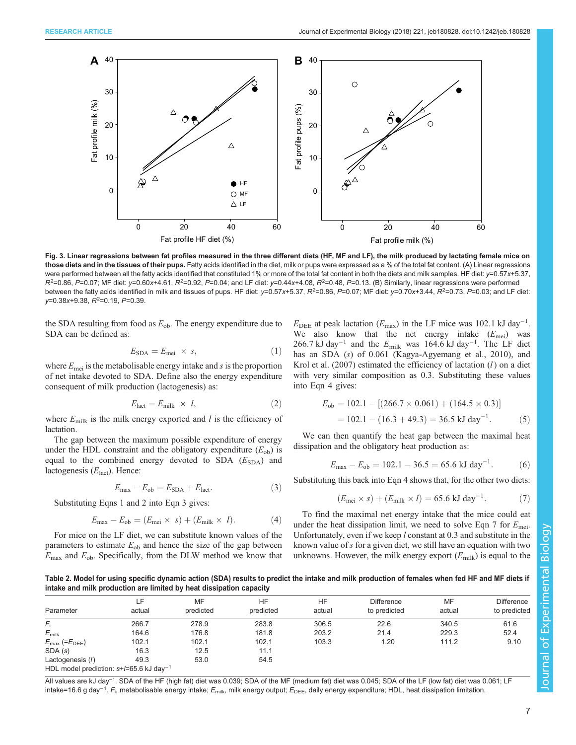<span id="page-6-0"></span>

Fig. 3. Linear regressions between fat profiles measured in the three different diets (HF, MF and LF), the milk produced by lactating female mice on those diets and in the tissues of their pups. Fatty acids identified in the diet, milk or pups were expressed as a % of the total fat content. (A) Linear regressions were performed between all the fatty acids identified that constituted 1% or more of the total fat content in both the diets and milk samples. HF diet: y=0.57x+5.37,  $R^2$ =0.86, P=0.07; MF diet: y=0.60x+4.61,  $R^2$ =0.92, P=0.04; and LF diet: y=0.44x+4.08,  $R^2$ =0.48, P=0.13. (B) Similarly, linear regressions were performed between the fatty acids identified in milk and tissues of pups. HF diet: y=0.57x+5.37, R<sup>2</sup>=0.86, P=0.07; MF diet: y=0.70x+3.44, R<sup>2</sup>=0.73, P=0.03; and LF diet:  $y=0.38x+9.38, R^2=0.19, P=0.39.$ 

the SDA resulting from food as  $E_{ob}$ . The energy expenditure due to SDA can be defined as:

$$
E_{\rm SDA} = E_{\rm mei} \times s,\tag{1}
$$

where  $E_{\text{mei}}$  is the metabolisable energy intake and s is the proportion of net intake devoted to SDA. Define also the energy expenditure consequent of milk production (lactogenesis) as:

$$
E_{\text{lact}} = E_{\text{milk}} \times l, \tag{2}
$$

where  $E_{\text{milk}}$  is the milk energy exported and l is the efficiency of lactation.

The gap between the maximum possible expenditure of energy under the HDL constraint and the obligatory expenditure  $(E_{ob})$  is equal to the combined energy devoted to SDA  $(E_{SDA})$  and lactogenesis  $(E_{\text{fact}})$ . Hence:

$$
E_{\text{max}} - E_{\text{ob}} = E_{\text{SDA}} + E_{\text{lact}}.\tag{3}
$$

Substituting Eqns 1 and 2 into Eqn 3 gives:

$$
E_{\text{max}} - E_{\text{ob}} = (E_{\text{mei}} \times s) + (E_{\text{milk}} \times l). \tag{4}
$$

For mice on the LF diet, we can substitute known values of the parameters to estimate  $E_{ob}$  and hence the size of the gap between  $E_{\text{max}}$  and  $E_{\text{ob}}$ . Specifically, from the DLW method we know that

 $E_{\text{DEE}}$  at peak lactation ( $E_{\text{max}}$ ) in the LF mice was 102.1 kJ day<sup>-1</sup>. We also know that the net energy intake  $(E_{\text{mei}})$  was 266.7 kJ day<sup>-1</sup> and the  $E_{\text{milk}}$  was 164.6 kJ day<sup>-1</sup>. The LF diet has an SDA (s) of 0.061 [\(Kagya-Agyemang et al., 2010](#page-9-0)), and Krol et al.  $(2007)$  estimated the efficiency of lactation  $(l)$  on a diet with very similar composition as 0.3. Substituting these values into Eqn 4 gives:

$$
E_{\text{ob}} = 102.1 - [(266.7 \times 0.061) + (164.5 \times 0.3)]
$$
  
= 102.1 - (16.3 + 49.3) = 36.5 kJ day<sup>-1</sup>. (5)

We can then quantify the heat gap between the maximal heat dissipation and the obligatory heat production as:

$$
E_{\text{max}} - E_{\text{ob}} = 102.1 - 36.5 = 65.6 \text{ kJ day}^{-1}.
$$
 (6)

Substituting this back into Eqn 4 shows that, for the other two diets:

$$
(E_{\text{mei}} \times s) + (E_{\text{milk}} \times l) = 65.6 \text{ kJ day}^{-1}.
$$
 (7)

To find the maximal net energy intake that the mice could eat under the heat dissipation limit, we need to solve Eqn 7 for  $E_{\text{mei}}$ . Unfortunately, even if we keep  $l$  constant at 0.3 and substitute in the known value of s for a given diet, we still have an equation with two unknowns. However, the milk energy export  $(E_{\text{milk}})$  is equal to the

Table 2. Model for using specific dynamic action (SDA) results to predict the intake and milk production of females when fed HF and MF diets if intake and milk production are limited by heat dissipation capacity

|                                                       | ιF.    | MF        | HF        | HF     | <b>Difference</b> | MF     | <b>Difference</b> |
|-------------------------------------------------------|--------|-----------|-----------|--------|-------------------|--------|-------------------|
| Parameter                                             | actual | predicted | predicted | actual | to predicted      | actual | to predicted      |
| F.                                                    | 266.7  | 278.9     | 283.8     | 306.5  | 22.6              | 340.5  | 61.6              |
| $E_{\text{milk}}$                                     | 164.6  | 176.8     | 181.8     | 203.2  | 21.4              | 229.3  | 52.4              |
| $E_{\text{max}}$ (= $E_{\text{DEE}}$ )                | 102.1  | 102.1     | 102.1     | 103.3  | 1.20              | 111.2  | 9.10              |
| SDA(s)                                                | 16.3   | 12.5      | 11.1      |        |                   |        |                   |
| Lactogenesis (/)                                      | 49.3   | 53.0      | 54.5      |        |                   |        |                   |
| HDL model prediction: $s+/-65.6$ kJ day <sup>-1</sup> |        |           |           |        |                   |        |                   |

All values are kJ day<sup>-1</sup>. SDA of the HF (high fat) diet was 0.039; SDA of the MF (medium fat) diet was 0.045; SDA of the LF (low fat) diet was 0.061; LF intake=16.6 g day<sup>−1</sup>. F<sub>i</sub>, metabolisable energy intake; E<sub>milk</sub>, milk energy output; E<sub>DEE</sub>, daily energy expenditure; HDL, heat dissipation limitation.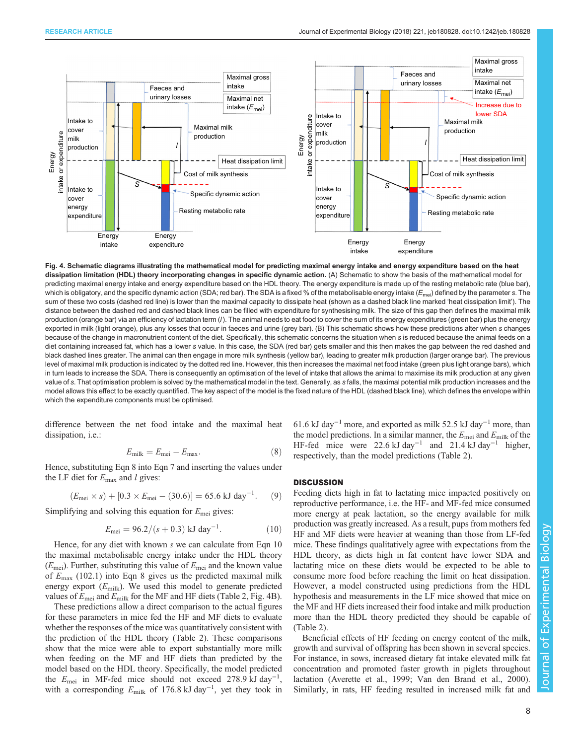<span id="page-7-0"></span>

Fig. 4. Schematic diagrams illustrating the mathematical model for predicting maximal energy intake and energy expenditure based on the heat dissipation limitation (HDL) theory incorporating changes in specific dynamic action. (A) Schematic to show the basis of the mathematical model for predicting maximal energy intake and energy expenditure based on the HDL theory. The energy expenditure is made up of the resting metabolic rate (blue bar), which is obligatory, and the specific dynamic action (SDA; red bar). The SDA is a fixed % of the metabolisable energy intake  $(E_{\text{mei}})$  defined by the parameter s. The sum of these two costs (dashed red line) is lower than the maximal capacity to dissipate heat (shown as a dashed black line marked 'heat dissipation limit'). The distance between the dashed red and dashed black lines can be filled with expenditure for synthesising milk. The size of this gap then defines the maximal milk production (orange bar) via an efficiency of lactation term (I). The animal needs to eat food to cover the sum of its energy expenditures (green bar) plus the energy exported in milk (light orange), plus any losses that occur in faeces and urine (grey bar). (B) This schematic shows how these predictions alter when s changes because of the change in macronutrient content of the diet. Specifically, this schematic concerns the situation when s is reduced because the animal feeds on a diet containing increased fat, which has a lower s value. In this case, the SDA (red bar) gets smaller and this then makes the gap between the red dashed and black dashed lines greater. The animal can then engage in more milk synthesis (yellow bar), leading to greater milk production (larger orange bar). The previous level of maximal milk production is indicated by the dotted red line. However, this then increases the maximal net food intake (green plus light orange bars), which in turn leads to increase the SDA. There is consequently an optimisation of the level of intake that allows the animal to maximise its milk production at any given value of s. That optimisation problem is solved by the mathematical model in the text. Generally, as s falls, the maximal potential milk production increases and the model allows this effect to be exactly quantified. The key aspect of the model is the fixed nature of the HDL (dashed black line), which defines the envelope within which the expenditure components must be optimised.

difference between the net food intake and the maximal heat dissipation, i.e.:

$$
E_{\text{milk}} = E_{\text{mei}} - E_{\text{max}}.\tag{8}
$$

Hence, substituting Eqn 8 into Eqn 7 and inserting the values under the LF diet for  $E_{\text{max}}$  and *l* gives:

$$
(E_{\text{mei}} \times s) + [0.3 \times E_{\text{mei}} - (30.6)] = 65.6 \text{ kJ day}^{-1}.
$$
 (9)

Simplifying and solving this equation for  $E_{\text{mei}}$  gives:

$$
E_{\text{mei}} = 96.2/(s + 0.3) \text{ kJ day}^{-1}.
$$
 (10)

Hence, for any diet with known s we can calculate from Eqn 10 the maximal metabolisable energy intake under the HDL theory  $(E_{\text{mei}})$ . Further, substituting this value of  $E_{\text{mei}}$  and the known value of  $E_{\text{max}}$  (102.1) into Eqn 8 gives us the predicted maximal milk energy export  $(E_{\text{milk}})$ . We used this model to generate predicted values of  $E_{\text{mei}}$  and  $E_{\text{milk}}$  for the MF and HF diets ([Table 2,](#page-6-0) Fig. 4B).

These predictions allow a direct comparison to the actual figures for these parameters in mice fed the HF and MF diets to evaluate whether the responses of the mice was quantitatively consistent with the prediction of the HDL theory ([Table 2\)](#page-6-0). These comparisons show that the mice were able to export substantially more milk when feeding on the MF and HF diets than predicted by the model based on the HDL theory. Specifically, the model predicted the  $E_{\text{mei}}$  in MF-fed mice should not exceed 278.9 kJ day<sup>-1</sup>, with a corresponding  $E_{\text{milk}}$  of 176.8 kJ day<sup>-1</sup>, yet they took in

61.6 kJ day−<sup>1</sup> more, and exported as milk 52.5 kJ day−<sup>1</sup> more, than the model predictions. In a similar manner, the  $E_{\text{mei}}$  and  $E_{\text{milk}}$  of the HF-fed mice were 22.6 kJ day−<sup>1</sup> and 21.4 kJ day−<sup>1</sup> higher, respectively, than the model predictions ([Table 2](#page-6-0)).

# **DISCUSSION**

Feeding diets high in fat to lactating mice impacted positively on reproductive performance, i.e. the HF- and MF-fed mice consumed more energy at peak lactation, so the energy available for milk production was greatly increased. As a result, pups from mothers fed HF and MF diets were heavier at weaning than those from LF-fed mice. These findings qualitatively agree with expectations from the HDL theory, as diets high in fat content have lower SDA and lactating mice on these diets would be expected to be able to consume more food before reaching the limit on heat dissipation. However, a model constructed using predictions from the HDL hypothesis and measurements in the LF mice showed that mice on the MF and HF diets increased their food intake and milk production more than the HDL theory predicted they should be capable of [\(Table 2\)](#page-6-0).

Beneficial effects of HF feeding on energy content of the milk, growth and survival of offspring has been shown in several species. For instance, in sows, increased dietary fat intake elevated milk fat concentration and promoted faster growth in piglets throughout lactation [\(Averette et al., 1999;](#page-9-0) [Van den Brand et al., 2000\)](#page-10-0). Similarly, in rats, HF feeding resulted in increased milk fat and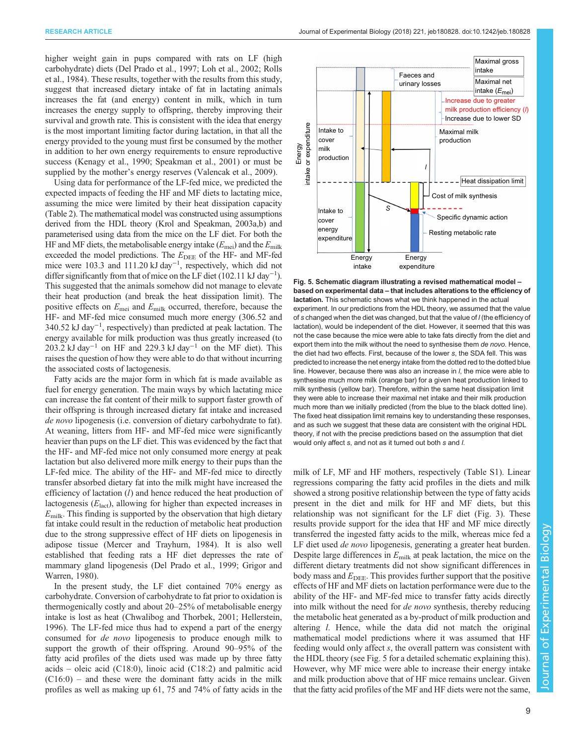higher weight gain in pups compared with rats on LF (high carbohydrate) diets ([Del Prado et al., 1997](#page-9-0); [Loh et al., 2002](#page-9-0); [Rolls](#page-9-0) [et al., 1984](#page-9-0)). These results, together with the results from this study, suggest that increased dietary intake of fat in lactating animals increases the fat (and energy) content in milk, which in turn increases the energy supply to offspring, thereby improving their survival and growth rate. This is consistent with the idea that energy is the most important limiting factor during lactation, in that all the energy provided to the young must first be consumed by the mother in addition to her own energy requirements to ensure reproductive success ([Kenagy et al., 1990](#page-9-0); [Speakman et al., 2001\)](#page-9-0) or must be supplied by the mother's energy reserves [\(Valencak et al., 2009\)](#page-9-0).

Using data for performance of the LF-fed mice, we predicted the expected impacts of feeding the HF and MF diets to lactating mice, assuming the mice were limited by their heat dissipation capacity [\(Table 2\)](#page-6-0). The mathematical model was constructed using assumptions derived from the HDL theory [\(Krol and Speakman, 2003a,b\)](#page-9-0) and parameterised using data from the mice on the LF diet. For both the HF and MF diets, the metabolisable energy intake  $(E_{\text{mei}})$  and the  $E_{\text{milk}}$ exceeded the model predictions. The  $E_{\text{DEE}}$  of the HF- and MF-fed mice were 103.3 and 111.20 kJ day<sup>-1</sup>, respectively, which did not differ significantly from that of mice on the LF diet (102.11 kJ day<sup>-1</sup>). This suggested that the animals somehow did not manage to elevate their heat production (and break the heat dissipation limit). The positive effects on  $E_{\text{mei}}$  and  $E_{\text{milk}}$  occurred, therefore, because the HF- and MF-fed mice consumed much more energy (306.52 and 340.52 kJ day−<sup>1</sup> , respectively) than predicted at peak lactation. The energy available for milk production was thus greatly increased (to 203.2 kJ day<sup>-1</sup> on HF and 229.3 kJ day<sup>-1</sup> on the MF diet). This raises the question of how they were able to do that without incurring the associated costs of lactogenesis.

Fatty acids are the major form in which fat is made available as fuel for energy generation. The main ways by which lactating mice can increase the fat content of their milk to support faster growth of their offspring is through increased dietary fat intake and increased de novo lipogenesis (i.e. conversion of dietary carbohydrate to fat). At weaning, litters from HF- and MF-fed mice were significantly heavier than pups on the LF diet. This was evidenced by the fact that the HF- and MF-fed mice not only consumed more energy at peak lactation but also delivered more milk energy to their pups than the LF-fed mice. The ability of the HF- and MF-fed mice to directly transfer absorbed dietary fat into the milk might have increased the efficiency of lactation (*l*) and hence reduced the heat production of lactogenesis  $(E<sub>last</sub>)$ , allowing for higher than expected increases in  $E<sub>milk</sub>$ . This finding is supported by the observation that high dietary fat intake could result in the reduction of metabolic heat production due to the strong suppressive effect of HF diets on lipogenesis in adipose tissue [\(Mercer and Trayhurn, 1984\)](#page-9-0). It is also well established that feeding rats a HF diet depresses the rate of mammary gland lipogenesis ([Del Prado et al., 1999](#page-9-0); [Grigor and](#page-9-0) [Warren, 1980\)](#page-9-0).

In the present study, the LF diet contained 70% energy as carbohydrate. Conversion of carbohydrate to fat prior to oxidation is thermogenically costly and about 20–25% of metabolisable energy intake is lost as heat [\(Chwalibog and Thorbek, 2001; Hellerstein,](#page-9-0) [1996](#page-9-0)). The LF-fed mice thus had to expend a part of the energy consumed for de novo lipogenesis to produce enough milk to support the growth of their offspring. Around 90–95% of the fatty acid profiles of the diets used was made up by three fatty acids – oleic acid (C18:0), linoic acid (C18:2) and palmitic acid  $(C16:0)$  – and these were the dominant fatty acids in the milk profiles as well as making up 61, 75 and 74% of fatty acids in the



Fig. 5. Schematic diagram illustrating a revised mathematical model – based on experimental data – that includes alterations to the efficiency of lactation. This schematic shows what we think happened in the actual experiment. In our predictions from the HDL theory, we assumed that the value of s changed when the diet was changed, but that the value of *l* (the efficiency of lactation), would be independent of the diet. However, it seemed that this was not the case because the mice were able to take fats directly from the diet and export them into the milk without the need to synthesise them de novo. Hence, the diet had two effects. First, because of the lower s, the SDA fell. This was predicted to increase the net energy intake from the dotted red to the dotted blue line. However, because there was also an increase in l, the mice were able to synthesise much more milk (orange bar) for a given heat production linked to milk synthesis (yellow bar). Therefore, within the same heat dissipation limit they were able to increase their maximal net intake and their milk production much more than we initially predicted (from the blue to the black dotted line). The fixed heat dissipation limit remains key to understanding these responses, and as such we suggest that these data are consistent with the original HDL theory, if not with the precise predictions based on the assumption that diet would only affect s, and not as it turned out both s and l.

milk of LF, MF and HF mothers, respectively [\(Table S1\)](http://jeb.biologists.org/lookup/doi/10.1242/jeb.180828.supplemental). Linear regressions comparing the fatty acid profiles in the diets and milk showed a strong positive relationship between the type of fatty acids present in the diet and milk for HF and MF diets, but this relationship was not significant for the LF diet ([Fig. 3\)](#page-6-0). These results provide support for the idea that HF and MF mice directly transferred the ingested fatty acids to the milk, whereas mice fed a LF diet used *de novo* lipogenesis, generating a greater heat burden. Despite large differences in  $E_{\text{milk}}$  at peak lactation, the mice on the different dietary treatments did not show significant differences in body mass and  $E_{\text{DEE}}$ . This provides further support that the positive effects of HF and MF diets on lactation performance were due to the ability of the HF- and MF-fed mice to transfer fatty acids directly into milk without the need for de novo synthesis, thereby reducing the metabolic heat generated as a by-product of milk production and altering l. Hence, while the data did not match the original mathematical model predictions where it was assumed that HF feeding would only affect s, the overall pattern was consistent with the HDL theory (see Fig. 5 for a detailed schematic explaining this). However, why MF mice were able to increase their energy intake and milk production above that of HF mice remains unclear. Given that the fatty acid profiles of the MF and HF diets were not the same,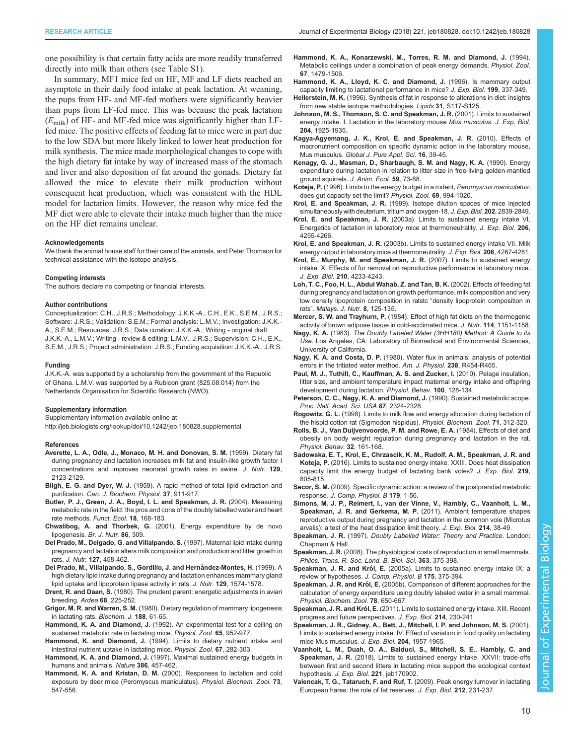<span id="page-9-0"></span>one possibility is that certain fatty acids are more readily transferred directly into milk than others (see [Table S1](http://jeb.biologists.org/lookup/doi/10.1242/jeb.180828.supplemental)).

In summary, MF1 mice fed on HF, MF and LF diets reached an asymptote in their daily food intake at peak lactation. At weaning, the pups from HF- and MF-fed mothers were significantly heavier than pups from LF-fed mice. This was because the peak lactation  $(E_{\text{milk}})$  of HF- and MF-fed mice was significantly higher than LFfed mice. The positive effects of feeding fat to mice were in part due to the low SDA but more likely linked to lower heat production for milk synthesis. The mice made morphological changes to cope with the high dietary fat intake by way of increased mass of the stomach and liver and also deposition of fat around the gonads. Dietary fat allowed the mice to elevate their milk production without consequent heat production, which was consistent with the HDL model for lactation limits. However, the reason why mice fed the MF diet were able to elevate their intake much higher than the mice on the HF diet remains unclear.

#### Acknowledgements

We thank the animal house staff for their care of the animals, and Peter Thomson for technical assistance with the isotope analysis.

#### Competing interests

The authors declare no competing or financial interests.

#### Author contributions

Conceptualization: C.H., J.R.S.; Methodology: J.K.K.-A., C.H., E.K., S.E.M., J.R.S.; Software: J.R.S.; Validation: S.E.M.; Formal analysis: L.M.V.; Investigation: J.K.K.- A., S.E.M.; Resources: J.R.S.; Data curation: J.K.K.-A.; Writing - original draft: J.K.K.-A., L.M.V.; Writing - review & editing: L.M.V., J.R.S.; Supervision: C.H., E.K., S.E.M., J.R.S.; Project administration: J.R.S.; Funding acquisition: J.K.K.-A., J.R.S.

#### Funding

J.K.K.-A. was supported by a scholarship from the government of the Republic of Ghana. L.M.V. was supported by a Rubicon grant (825.08.014) from the Netherlands Organisation for Scientific Research (NWO).

#### Supplementary information

Supplementary information available online at

<http://jeb.biologists.org/lookup/doi/10.1242/jeb.180828.supplemental>

#### References

- [Averette, L. A., Odle, J., Monaco, M. H. and Donovan, S. M.](http://dx.doi.org/10.1093/jn/129.12.2123) (1999). Dietary fat [during pregnancy and lactation increases milk fat and insulin-like growth factor I](http://dx.doi.org/10.1093/jn/129.12.2123) [concentrations and improves neonatal growth rates in swine.](http://dx.doi.org/10.1093/jn/129.12.2123) J. Nutr. 129, [2123-2129.](http://dx.doi.org/10.1093/jn/129.12.2123)
- Bligh, E. G. and Dyer, W. J. [\(1959\). A rapid method of total lipid extraction and](http://dx.doi.org/10.1139/y59-099) purification. [Can. J. Biochem. Physiol.](http://dx.doi.org/10.1139/y59-099) 37, 911-917.
- [Butler, P. J., Green, J. A., Boyd, I. L. and Speakman, J. R.](http://dx.doi.org/10.1111/j.0269-8463.2004.00821.x) (2004). Measuring [metabolic rate in the field: the pros and cons of the doubly labelled water and heart](http://dx.doi.org/10.1111/j.0269-8463.2004.00821.x) [rate methods.](http://dx.doi.org/10.1111/j.0269-8463.2004.00821.x) Funct. Ecol. 18, 168-183.
- Chwalibog, A. and Thorbek, G. [\(2001\). Energy expenditure by de novo](http://dx.doi.org/10.1079/BJN2001401) [lipogenesis.](http://dx.doi.org/10.1079/BJN2001401) Br. J. Nutr. 86, 309.
- [Del Prado, M., Delgado, G. and Villalpando, S.](http://dx.doi.org/10.1093/jn/127.3.458) (1997). Maternal lipid intake during [pregnancy and lactation alters milk composition and production and litter growth in](http://dx.doi.org/10.1093/jn/127.3.458) rats. J. Nutr. 127[, 458-462.](http://dx.doi.org/10.1093/jn/127.3.458)
- Del Prado, M., Villalpando, S., Gordillo, J. and Hernández-Montes, H. (1999). A [high dietary lipid intake during pregnancy and lactation enhances mammary gland](http://dx.doi.org/10.1093/jn/129.8.1574) [lipid uptake and lipoprotein lipase activity in rats.](http://dx.doi.org/10.1093/jn/129.8.1574) J. Nutr. 129, 1574-1578.
- Drent, R. and Daan, S. (1980). The prudent parent: energetic adjustments in avian breeding. Ardea 68, 225-252.
- Grigor, M. R. and Warren, S. M. [\(1980\). Dietary regulation of mammary lipogenesis](http://dx.doi.org/10.1042/bj1880061) [in lactating rats.](http://dx.doi.org/10.1042/bj1880061) Biochem. J. 188. 61-65.
- Hammond, K. A. and Diamond, J. [\(1992\). An experimental test for a ceiling on](http://dx.doi.org/10.1086/physzool.65.5.30158552) [sustained metabolic rate in lactating mice.](http://dx.doi.org/10.1086/physzool.65.5.30158552) Physiol. Zool. 65, 952-977.
- Hammond, K. and Diamond, J. [\(1994\). Limits to dietary nutrient intake and](http://dx.doi.org/10.1086/physzool.67.1.30163847) [intestinal nutrient uptake in lactating mice.](http://dx.doi.org/10.1086/physzool.67.1.30163847) Physiol. Zool. 67, 282-303.
- Hammond, K. A. and Diamond, J. [\(1997\). Maximal sustained energy budgets in](http://dx.doi.org/10.1038/386457a0) [humans and animals.](http://dx.doi.org/10.1038/386457a0) Nature 386, 457-462.
- Hammond, K. A. and Kristan, D. M. [\(2000\). Responses to lactation and cold](http://dx.doi.org/10.1086/317757) [exposure by deer mice \(Peromyscus maniculatus\).](http://dx.doi.org/10.1086/317757) Physiol. Biochem. Zool. 73, [547-556.](http://dx.doi.org/10.1086/317757)
- [Hammond, K. A., Konarzewski, M., Torres, R. M. and Diamond, J.](http://dx.doi.org/10.1086/physzool.67.6.30163908) (1994). [Metabolic ceilings under a combination of peak energy demands.](http://dx.doi.org/10.1086/physzool.67.6.30163908) Physiol. Zool. 67[, 1479-1506.](http://dx.doi.org/10.1086/physzool.67.6.30163908)
- Hammond, K. A., Lloyd, K. C. and Diamond, J. (1996). Is mammary output capacity limiting to lactational performance in mice? J. Exp. Biol. 199, 337-349.
- Hellerstein, M. K. [\(1996\). Synthesis of fat in response to alterations in diet: insights](http://dx.doi.org/10.1007/BF02637062) [from new stable isotope methodologies.](http://dx.doi.org/10.1007/BF02637062) Lipids 31, S117-S125.
- Johnson, M. S., Thomson, S. C. and Speakman, J. R. (2001). Limits to sustained energy intake. I. Lactation in the laboratory mouse Mus musculus. J. Exp. Biol. 204, 1925-1935.
- [Kagya-Agyemang, J. K., Krol, E. and Speakman, J. R.](http://dx.doi.org/10.4314/gjpas.v16i1.62808) (2010). Effects of [macronutrient composition on specific dynamic action in the laboratory mouse,](http://dx.doi.org/10.4314/gjpas.v16i1.62808) Mus musculus. [Global J. Pure Appl. Sci.](http://dx.doi.org/10.4314/gjpas.v16i1.62808) 16, 39-45.
- [Kenagy, G. J., Masman, D., Sharbaugh, S. M. and Nagy, K. A.](http://dx.doi.org/10.2307/5159) (1990). Energy [expenditure during lactation in relation to litter size in free-living golden-mantled](http://dx.doi.org/10.2307/5159) [ground squirrels.](http://dx.doi.org/10.2307/5159) J. Anim. Ecol. 59, 73-88.
- Koteja, P. [\(1996\). Limits to the energy budget in a rodent,](http://dx.doi.org/10.1086/physzool.69.5.30164243) Peromyscus maniculatus: [does gut capacity set the limit?](http://dx.doi.org/10.1086/physzool.69.5.30164243) Physiol. Zool. 69, 994-1020.
- Krol, E. and Speakman, J. R. (1999). Isotope dilution spaces of mice injected simultaneously with deuterium, tritium and oxygen-18. J. Exp. Biol. 202, 2839-2849.
- Krol, E. and Speakman, J. R. [\(2003a\). Limits to sustained energy intake VI.](http://dx.doi.org/10.1242/jeb.00674) [Energetics of lactation in laboratory mice at thermoneutrality.](http://dx.doi.org/10.1242/jeb.00674) J. Exp. Biol. 206, [4255-4266.](http://dx.doi.org/10.1242/jeb.00674)
- Krol, E. and Speakman, J. R. [\(2003b\). Limits to sustained energy intake VII. Milk](http://dx.doi.org/10.1242/jeb.00675) [energy output in laboratory mice at thermoneutrality.](http://dx.doi.org/10.1242/jeb.00675) J. Exp. Biol. 206, 4267-4281.
- [Krol, E., Murphy, M. and Speakman, J. R.](http://dx.doi.org/10.1242/jeb.009779) (2007). Limits to sustained energy [intake. X. Effects of fur removal on reproductive performance in laboratory mice.](http://dx.doi.org/10.1242/jeb.009779) J. Exp. Biol. 210[, 4233-4243.](http://dx.doi.org/10.1242/jeb.009779)
- Loh, T. C., Foo, H. L., Abdul Wahab, Z. and Tan, B. K. (2002). Effects of feeding fat during pregnancy and lactation on growth performance, milk composition and very low density lipoprotein composition in ratstc "density lipoprotein composition in rats". Malays. J. Nutr. 8, 125-135.
- Mercer, S. W. and Trayhurn, P. [\(1984\). Effect of high fat diets on the thermogenic](http://dx.doi.org/10.1093/jn/114.6.1151) [activity of brown adipose tissue in cold-acclimated mice.](http://dx.doi.org/10.1093/jn/114.6.1151) J. Nutr. 114, 1151-1158.
- Nagy, K. A. (1983). The Doubly Labeled Water (3HH180) Method: A Guide to its Use. Los Angeles, CA: Laboratory of Biomedical and Environmental Sciences, University of California.
- Nagy, K. A. and Costa, D. P. [\(1980\). Water flux in animals: analysis of potential](http://dx.doi.org/10.1152/ajpregu.1980.238.5.R454) [errors in the tritiated water method.](http://dx.doi.org/10.1152/ajpregu.1980.238.5.R454) Am. J. Physiol. 238, R454-R465.
- [Paul, M. J., Tuthill, C., Kauffman, A. S. and Zucker, I.](http://dx.doi.org/10.1016/j.physbeh.2010.02.012) (2010). Pelage insulation, [litter size, and ambient temperature impact maternal energy intake and offspring](http://dx.doi.org/10.1016/j.physbeh.2010.02.012) [development during lactation.](http://dx.doi.org/10.1016/j.physbeh.2010.02.012) Physiol. Behav. 100, 128-134.
- [Peterson, C. C., Nagy, K. A. and Diamond, J.](http://dx.doi.org/10.1073/pnas.87.6.2324) (1990). Sustained metabolic scope. [Proc. Natl. Acad. Sci. USA](http://dx.doi.org/10.1073/pnas.87.6.2324) 87, 2324-2328.
- Rogowitz, G. L. [\(1998\). Limits to milk flow and energy allocation during lactation of](http://dx.doi.org/10.1086/515923) [the hispid cotton rat \(Sigmodon hispidus\).](http://dx.doi.org/10.1086/515923) Physiol. Biochem. Zool. 71, 312-320.
- [Rolls, B. J., Van Duijvenvoorde, P. M. and Rowe, E. A.](http://dx.doi.org/10.1016/0031-9384(84)90124-0) (1984). Effects of diet and [obesity on body weight regulation during pregnancy and lactation in the rat.](http://dx.doi.org/10.1016/0031-9384(84)90124-0) [Physiol. Behav.](http://dx.doi.org/10.1016/0031-9384(84)90124-0) 32, 161-168.
- [Sadowska, E. T., Krol, E., Chrzascik, K. M., Rudolf, A. M., Speakman, J. R. and](http://dx.doi.org/10.1242/jeb.134437) Koteja, P. [\(2016\). Limits to sustained energy intake. XXIII. Does heat dissipation](http://dx.doi.org/10.1242/jeb.134437) [capacity limit the energy budget of lactating bank voles?](http://dx.doi.org/10.1242/jeb.134437) J. Exp. Biol. 219, [805-815.](http://dx.doi.org/10.1242/jeb.134437)
- Secor, S. M. [\(2009\). Specific dynamic action: a review of the postprandial metabolic](http://dx.doi.org/10.1007/s00360-008-0283-7) response. [J. Comp. Physiol. B](http://dx.doi.org/10.1007/s00360-008-0283-7) 179, 1-56.
- [Simons, M. J. P., Reimert, I., van der Vinne, V., Hambly, C., Vaanholt, L. M.,](http://dx.doi.org/10.1242/jeb.044230) [Speakman, J. R. and Gerkema, M. P.](http://dx.doi.org/10.1242/jeb.044230) (2011). Ambient temperature shapes [reproductive output during pregnancy and lactation in the common vole \(Microtus](http://dx.doi.org/10.1242/jeb.044230) [arvalis\): a test of the heat dissipation limit theory.](http://dx.doi.org/10.1242/jeb.044230) J. Exp. Biol. 214, 38-49.
- Speakman, J. R. (1997). Doubly Labelled Water: Theory and Practice. London: Chapman & Hall.
- Speakman, J. R. [\(2008\). The physiological costs of reproduction in small mammals.](http://dx.doi.org/10.1098/rstb.2007.2145) [Philos. Trans. R. Soc. Lond. B. Biol. Sci.](http://dx.doi.org/10.1098/rstb.2007.2145) 363, 375-398.
- Speakman, J. R. and Król, E. [\(2005a\). Limits to sustained energy intake IX: a](http://dx.doi.org/10.1007/s00360-005-0013-3) [review of hypotheses.](http://dx.doi.org/10.1007/s00360-005-0013-3) J. Comp. Physiol. B 175, 375-394.
- Speakman, J. R. and Król, E. [\(2005b\). Comparison of different approaches for the](http://dx.doi.org/10.1086/430234) [calculation of energy expenditure using doubly labeled water in a small mammal.](http://dx.doi.org/10.1086/430234) [Physiol. Biochem. Zool.](http://dx.doi.org/10.1086/430234) 78, 650-667.
- Speakman, J. R. and Król, E. [\(2011\). Limits to sustained energy intake. XIII. Recent](http://dx.doi.org/10.1242/jeb.048603) [progress and future perspectives.](http://dx.doi.org/10.1242/jeb.048603) J. Exp. Biol. 214, 230-241.
- Speakman, J. R., Gidney, A., Bett, J., Mitchell, I. P. and Johnson, M. S. (2001). Limits to sustained energy intake. IV. Effect of variation in food quality on lactating mice Mus musculus. J. Exp. Biol. 204, 1957-1965.
- [Vaanholt, L. M., Duah, O. A., Balduci, S., Mitchell, S. E., Hambly, C. and](http://dx.doi.org/10.1242/jeb.170902) Speakman, J. R. [\(2018\). Limits to sustained energy intake. XXVII: trade-offs](http://dx.doi.org/10.1242/jeb.170902) [between first and second litters in lactating mice support the ecological context](http://dx.doi.org/10.1242/jeb.170902) hypothesis. J. Exp. Biol. 221[, jeb170902.](http://dx.doi.org/10.1242/jeb.170902)
- [Valencak, T. G., Tataruch, F. and Ruf, T.](http://dx.doi.org/10.1242/jeb.022640) (2009). Peak energy turnover in lactating [European hares: the role of fat reserves.](http://dx.doi.org/10.1242/jeb.022640) J. Exp. Biol. 212, 231-237.